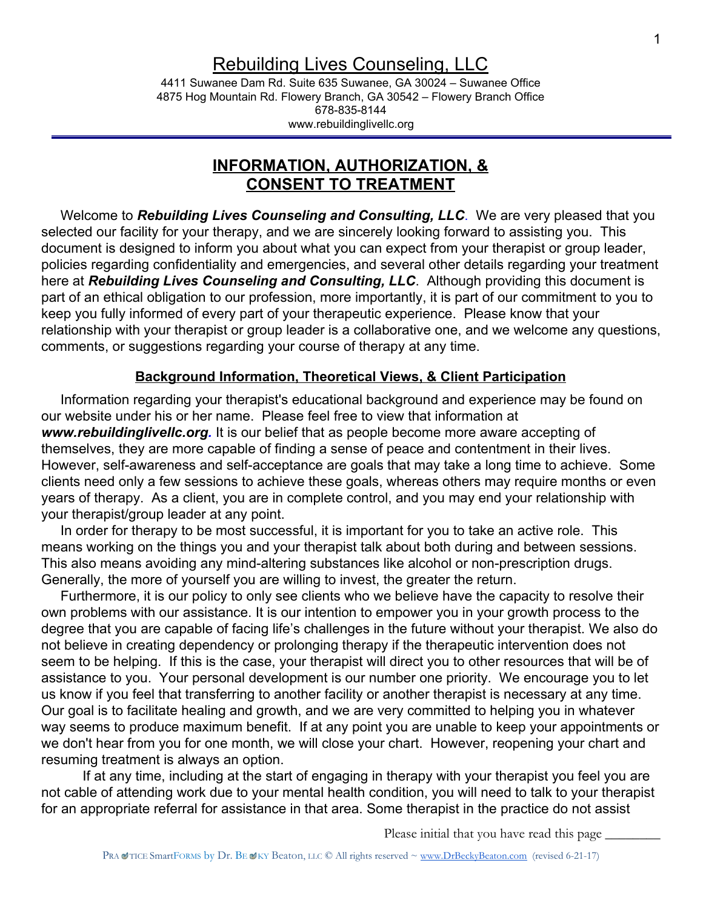# Rebuilding Lives Counseling, LLC

4411 Suwanee Dam Rd. Suite 635 Suwanee, GA 30024 – Suwanee Office 4875 Hog Mountain Rd. Flowery Branch, GA 30542 – Flowery Branch Office 678-835-8144 www.rebuildinglivellc.org

# **INFORMATION, AUTHORIZATION, & CONSENT TO TREATMENT**

 Welcome to *Rebuilding Lives Counseling and Consulting, LLC*. We are very pleased that you selected our facility for your therapy, and we are sincerely looking forward to assisting you. This document is designed to inform you about what you can expect from your therapist or group leader, policies regarding confidentiality and emergencies, and several other details regarding your treatment here at *Rebuilding Lives Counseling and Consulting, LLC*. Although providing this document is part of an ethical obligation to our profession, more importantly, it is part of our commitment to you to keep you fully informed of every part of your therapeutic experience. Please know that your relationship with your therapist or group leader is a collaborative one, and we welcome any questions, comments, or suggestions regarding your course of therapy at any time.

#### **Background Information, Theoretical Views, & Client Participation**

 Information regarding your therapist's educational background and experience may be found on our website under his or her name. Please feel free to view that information at *www.rebuildinglivellc.org.* It is our belief that as people become more aware accepting of themselves, they are more capable of finding a sense of peace and contentment in their lives. However, self-awareness and self-acceptance are goals that may take a long time to achieve. Some clients need only a few sessions to achieve these goals, whereas others may require months or even years of therapy. As a client, you are in complete control, and you may end your relationship with your therapist/group leader at any point.

 In order for therapy to be most successful, it is important for you to take an active role. This means working on the things you and your therapist talk about both during and between sessions. This also means avoiding any mind-altering substances like alcohol or non-prescription drugs. Generally, the more of yourself you are willing to invest, the greater the return.

 Furthermore, it is our policy to only see clients who we believe have the capacity to resolve their own problems with our assistance. It is our intention to empower you in your growth process to the degree that you are capable of facing life's challenges in the future without your therapist. We also do not believe in creating dependency or prolonging therapy if the therapeutic intervention does not seem to be helping. If this is the case, your therapist will direct you to other resources that will be of assistance to you. Your personal development is our number one priority. We encourage you to let us know if you feel that transferring to another facility or another therapist is necessary at any time. Our goal is to facilitate healing and growth, and we are very committed to helping you in whatever way seems to produce maximum benefit. If at any point you are unable to keep your appointments or we don't hear from you for one month, we will close your chart. However, reopening your chart and resuming treatment is always an option.

If at any time, including at the start of engaging in therapy with your therapist you feel you are not cable of attending work due to your mental health condition, you will need to talk to your therapist for an appropriate referral for assistance in that area. Some therapist in the practice do not assist

Please initial that you have read this page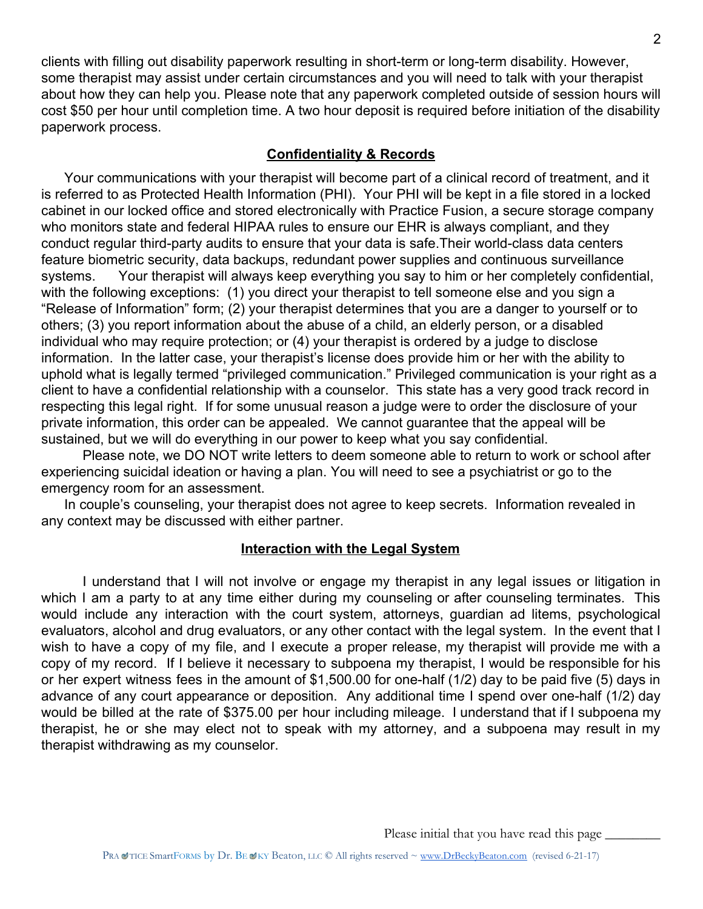clients with filling out disability paperwork resulting in short-term or long-term disability. However, some therapist may assist under certain circumstances and you will need to talk with your therapist about how they can help you. Please note that any paperwork completed outside of session hours will cost \$50 per hour until completion time. A two hour deposit is required before initiation of the disability paperwork process.

# **Confidentiality & Records**

 Your communications with your therapist will become part of a clinical record of treatment, and it is referred to as Protected Health Information (PHI). Your PHI will be kept in a file stored in a locked cabinet in our locked office and stored electronically with Practice Fusion, a secure storage company who monitors state and federal HIPAA rules to ensure our EHR is always compliant, and they conduct regular third-party audits to ensure that your data is safe.Their world-class data centers feature biometric security, data backups, redundant power supplies and continuous surveillance systems. Your therapist will always keep everything you say to him or her completely confidential, with the following exceptions: (1) you direct your therapist to tell someone else and you sign a "Release of Information" form; (2) your therapist determines that you are a danger to yourself or to others; (3) you report information about the abuse of a child, an elderly person, or a disabled individual who may require protection; or (4) your therapist is ordered by a judge to disclose information. In the latter case, your therapist's license does provide him or her with the ability to uphold what is legally termed "privileged communication." Privileged communication is your right as a client to have a confidential relationship with a counselor. This state has a very good track record in respecting this legal right. If for some unusual reason a judge were to order the disclosure of your private information, this order can be appealed. We cannot guarantee that the appeal will be sustained, but we will do everything in our power to keep what you say confidential.

Please note, we DO NOT write letters to deem someone able to return to work or school after experiencing suicidal ideation or having a plan. You will need to see a psychiatrist or go to the emergency room for an assessment.

 In couple's counseling, your therapist does not agree to keep secrets. Information revealed in any context may be discussed with either partner.

#### **Interaction with the Legal System**

I understand that I will not involve or engage my therapist in any legal issues or litigation in which I am a party to at any time either during my counseling or after counseling terminates. This would include any interaction with the court system, attorneys, guardian ad litems, psychological evaluators, alcohol and drug evaluators, or any other contact with the legal system. In the event that I wish to have a copy of my file, and I execute a proper release, my therapist will provide me with a copy of my record. If I believe it necessary to subpoena my therapist, I would be responsible for his or her expert witness fees in the amount of \$1,500.00 for one-half (1/2) day to be paid five (5) days in advance of any court appearance or deposition. Any additional time I spend over one-half (1/2) day would be billed at the rate of \$375.00 per hour including mileage. I understand that if I subpoena my therapist, he or she may elect not to speak with my attorney, and a subpoena may result in my therapist withdrawing as my counselor.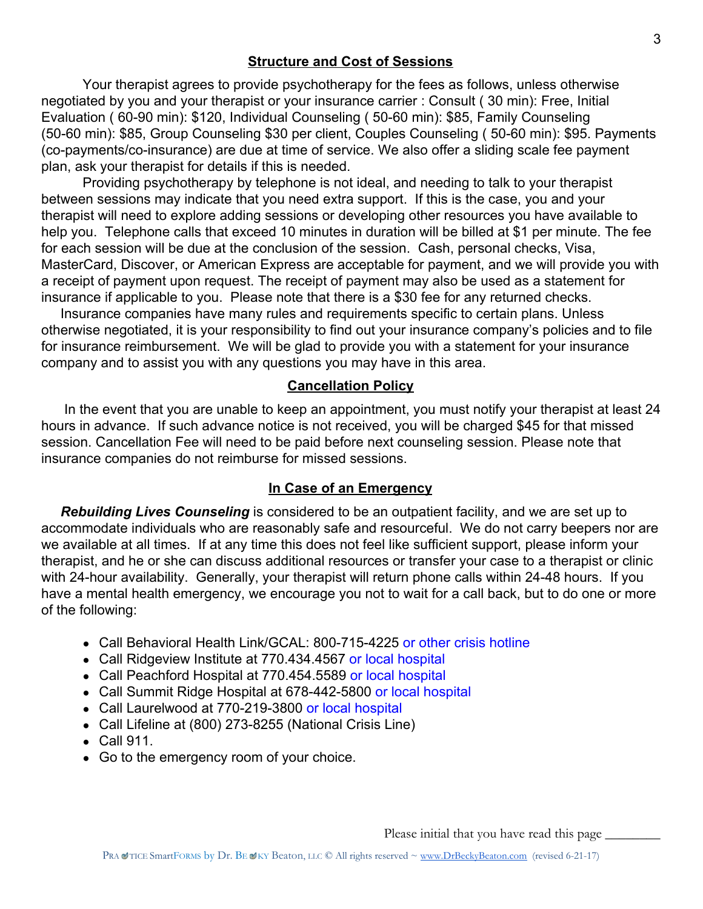#### **Structure and Cost of Sessions**

Your therapist agrees to provide psychotherapy for the fees as follows, unless otherwise negotiated by you and your therapist or your insurance carrier : Consult ( 30 min): Free, Initial Evaluation ( 60-90 min): \$120, Individual Counseling ( 50-60 min): \$85, Family Counseling (50-60 min): \$85, Group Counseling \$30 per client, Couples Counseling ( 50-60 min): \$95. Payments (co-payments/co-insurance) are due at time of service. We also offer a sliding scale fee payment plan, ask your therapist for details if this is needed.

Providing psychotherapy by telephone is not ideal, and needing to talk to your therapist between sessions may indicate that you need extra support. If this is the case, you and your therapist will need to explore adding sessions or developing other resources you have available to help you. Telephone calls that exceed 10 minutes in duration will be billed at \$1 per minute. The fee for each session will be due at the conclusion of the session. Cash, personal checks, Visa, MasterCard, Discover, or American Express are acceptable for payment, and we will provide you with a receipt of payment upon request. The receipt of payment may also be used as a statement for insurance if applicable to you. Please note that there is a \$30 fee for any returned checks.

 Insurance companies have many rules and requirements specific to certain plans. Unless otherwise negotiated, it is your responsibility to find out your insurance company's policies and to file for insurance reimbursement. We will be glad to provide you with a statement for your insurance company and to assist you with any questions you may have in this area.

# **Cancellation Policy**

 In the event that you are unable to keep an appointment, you must notify your therapist at least 24 hours in advance. If such advance notice is not received, you will be charged \$45 for that missed session. Cancellation Fee will need to be paid before next counseling session. Please note that insurance companies do not reimburse for missed sessions.

#### **In Case of an Emergency**

 *Rebuilding Lives Counseling* is considered to be an outpatient facility, and we are set up to accommodate individuals who are reasonably safe and resourceful. We do not carry beepers nor are we available at all times. If at any time this does not feel like sufficient support, please inform your therapist, and he or she can discuss additional resources or transfer your case to a therapist or clinic with 24-hour availability. Generally, your therapist will return phone calls within 24-48 hours. If you have a mental health emergency, we encourage you not to wait for a call back, but to do one or more of the following:

- Call Behavioral Health Link/GCAL: 800-715-4225 or other crisis hotline
- Call Ridgeview Institute at 770.434.4567 or local hospital
- Call Peachford Hospital at 770.454.5589 or local hospital
- Call Summit Ridge Hospital at 678-442-5800 or local hospital
- Call Laurelwood at 770-219-3800 or local hospital
- Call Lifeline at (800) 273-8255 (National Crisis Line)
- Call 911.
- Go to the emergency room of your choice.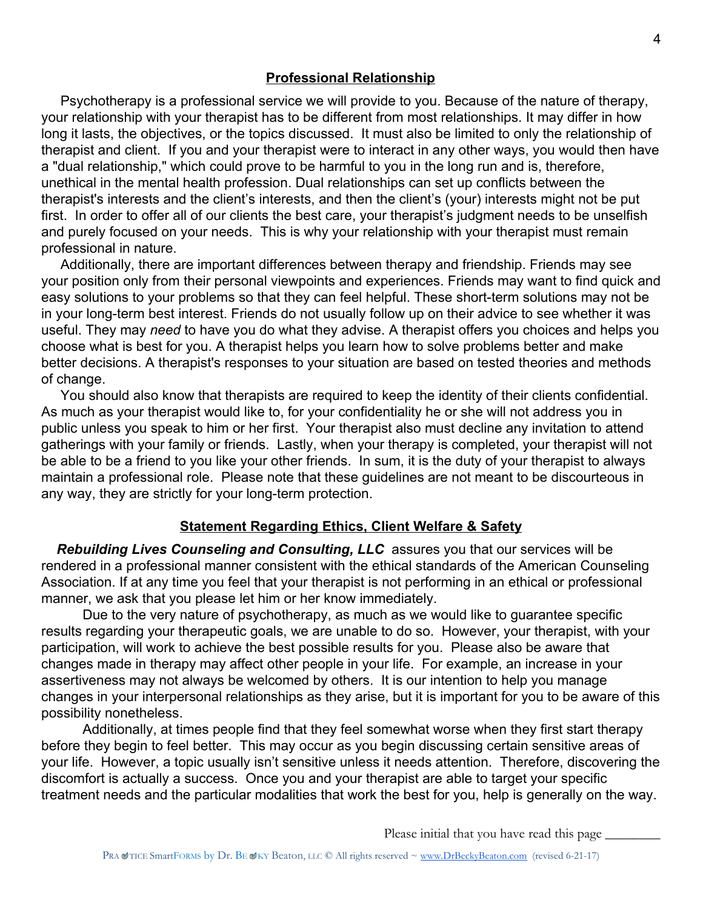#### **Professional Relationship**

 Psychotherapy is a professional service we will provide to you. Because of the nature of therapy, your relationship with your therapist has to be different from most relationships. It may differ in how long it lasts, the objectives, or the topics discussed. It must also be limited to only the relationship of therapist and client. If you and your therapist were to interact in any other ways, you would then have a "dual relationship," which could prove to be harmful to you in the long run and is, therefore, unethical in the mental health profession. Dual relationships can set up conflicts between the therapist's interests and the client's interests, and then the client's (your) interests might not be put first. In order to offer all of our clients the best care, your therapist's judgment needs to be unselfish and purely focused on your needs. This is why your relationship with your therapist must remain professional in nature.

 Additionally, there are important differences between therapy and friendship. Friends may see your position only from their personal viewpoints and experiences. Friends may want to find quick and easy solutions to your problems so that they can feel helpful. These short-term solutions may not be in your long-term best interest. Friends do not usually follow up on their advice to see whether it was useful. They may *need* to have you do what they advise. A therapist offers you choices and helps you choose what is best for you. A therapist helps you learn how to solve problems better and make better decisions. A therapist's responses to your situation are based on tested theories and methods of change.

 You should also know that therapists are required to keep the identity of their clients confidential. As much as your therapist would like to, for your confidentiality he or she will not address you in public unless you speak to him or her first. Your therapist also must decline any invitation to attend gatherings with your family or friends. Lastly, when your therapy is completed, your therapist will not be able to be a friend to you like your other friends. In sum, it is the duty of your therapist to always maintain a professional role. Please note that these guidelines are not meant to be discourteous in any way, they are strictly for your long-term protection.

#### **Statement Regarding Ethics, Client Welfare & Safety**

 *Rebuilding Lives Counseling and Consulting, LLC* assures you that our services will be rendered in a professional manner consistent with the ethical standards of the American Counseling Association. If at any time you feel that your therapist is not performing in an ethical or professional manner, we ask that you please let him or her know immediately.

Due to the very nature of psychotherapy, as much as we would like to guarantee specific results regarding your therapeutic goals, we are unable to do so. However, your therapist, with your participation, will work to achieve the best possible results for you. Please also be aware that changes made in therapy may affect other people in your life. For example, an increase in your assertiveness may not always be welcomed by others. It is our intention to help you manage changes in your interpersonal relationships as they arise, but it is important for you to be aware of this possibility nonetheless.

Additionally, at times people find that they feel somewhat worse when they first start therapy before they begin to feel better. This may occur as you begin discussing certain sensitive areas of your life. However, a topic usually isn't sensitive unless it needs attention. Therefore, discovering the discomfort is actually a success. Once you and your therapist are able to target your specific treatment needs and the particular modalities that work the best for you, help is generally on the way.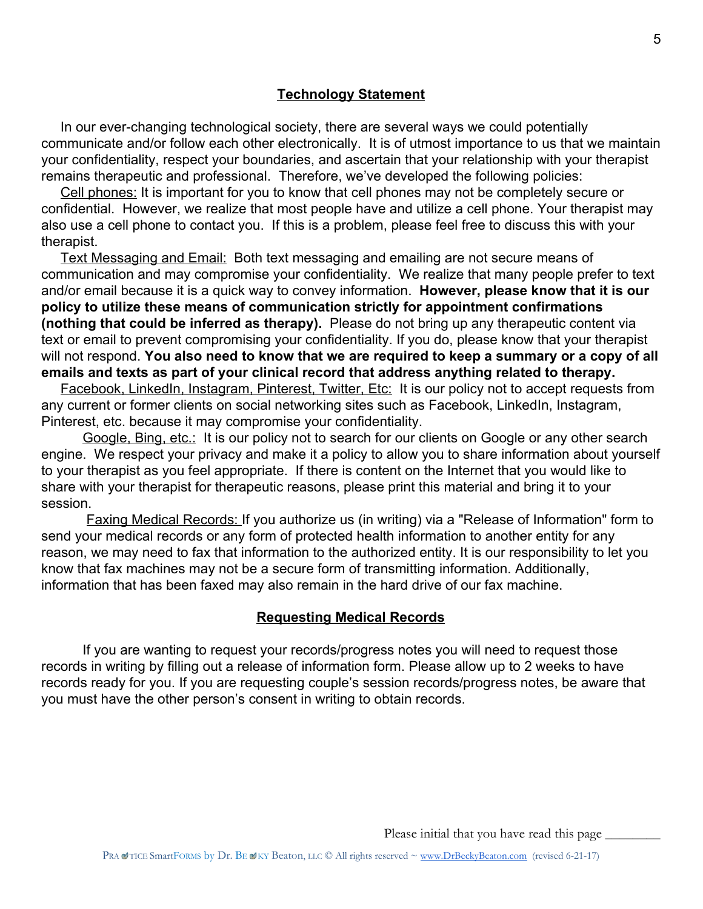#### **Technology Statement**

 In our ever-changing technological society, there are several ways we could potentially communicate and/or follow each other electronically. It is of utmost importance to us that we maintain your confidentiality, respect your boundaries, and ascertain that your relationship with your therapist remains therapeutic and professional. Therefore, we've developed the following policies:

 Cell phones: It is important for you to know that cell phones may not be completely secure or confidential. However, we realize that most people have and utilize a cell phone. Your therapist may also use a cell phone to contact you. If this is a problem, please feel free to discuss this with your therapist.

 Text Messaging and Email: Both text messaging and emailing are not secure means of communication and may compromise your confidentiality. We realize that many people prefer to text and/or email because it is a quick way to convey information. **However, please know that it is our policy to utilize these means of communication strictly for appointment confirmations (nothing that could be inferred as therapy).** Please do not bring up any therapeutic content via text or email to prevent compromising your confidentiality. If you do, please know that your therapist will not respond. **You also need to know that we are required to keep a summary or a copy of all emails and texts as part of your clinical record that address anything related to therapy.**

Facebook, LinkedIn, Instagram, Pinterest, Twitter, Etc: It is our policy not to accept requests from any current or former clients on social networking sites such as Facebook, LinkedIn, Instagram, Pinterest, etc. because it may compromise your confidentiality.

Google, Bing, etc.: It is our policy not to search for our clients on Google or any other search engine. We respect your privacy and make it a policy to allow you to share information about yourself to your therapist as you feel appropriate. If there is content on the Internet that you would like to share with your therapist for therapeutic reasons, please print this material and bring it to your session.

Faxing Medical Records: If you authorize us (in writing) via a "Release of Information" form to send your medical records or any form of protected health information to another entity for any reason, we may need to fax that information to the authorized entity. It is our responsibility to let you know that fax machines may not be a secure form of transmitting information. Additionally, information that has been faxed may also remain in the hard drive of our fax machine.

#### **Requesting Medical Records**

If you are wanting to request your records/progress notes you will need to request those records in writing by filling out a release of information form. Please allow up to 2 weeks to have records ready for you. If you are requesting couple's session records/progress notes, be aware that you must have the other person's consent in writing to obtain records.